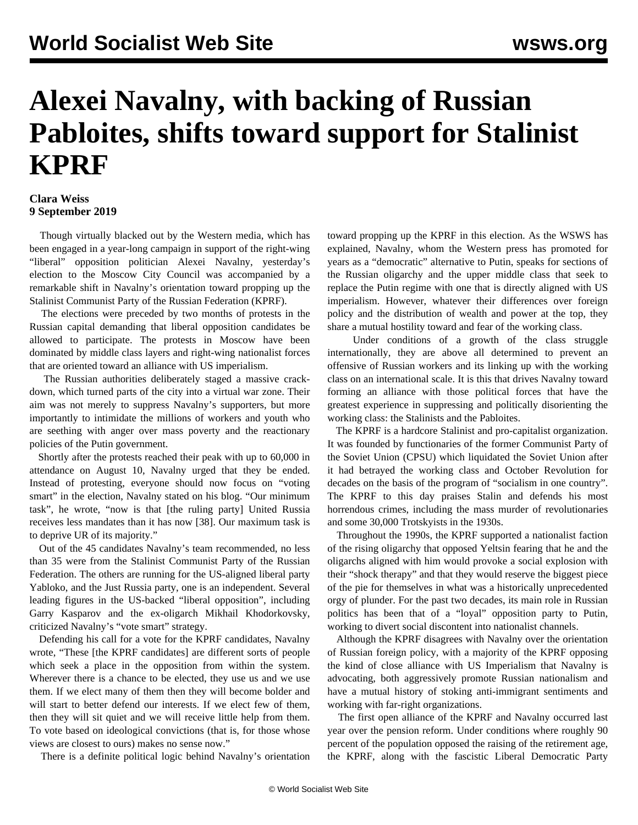## **Alexei Navalny, with backing of Russian Pabloites, shifts toward support for Stalinist KPRF**

## **Clara Weiss 9 September 2019**

 Though virtually blacked out by the Western media, which has been engaged in a year-long campaign in support of the right-wing "liberal" opposition politician Alexei Navalny, yesterday's election to the Moscow City Council was accompanied by a remarkable shift in Navalny's orientation toward propping up the Stalinist Communist Party of the Russian Federation (KPRF).

 The elections were preceded by two months of protests in the Russian capital demanding that liberal opposition candidates be allowed to participate. The protests in Moscow have been dominated by middle class layers and right-wing nationalist forces that are oriented toward an alliance with US imperialism.

 The Russian authorities deliberately staged a massive crackdown, which turned parts of the city into a virtual war zone. Their aim was not merely to suppress Navalny's supporters, but more importantly to intimidate the millions of workers and youth who are seething with anger over mass poverty and the reactionary policies of the Putin government.

 Shortly after the protests reached their peak with up to 60,000 in attendance on August 10, Navalny urged that they be ended. Instead of protesting, everyone should now focus on "voting smart" in the election, Navalny stated on his blog. "Our minimum task", he wrote, "now is that [the ruling party] United Russia receives less mandates than it has now [38]. Our maximum task is to deprive UR of its majority."

 Out of the 45 candidates Navalny's team recommended, no less than 35 were from the Stalinist Communist Party of the Russian Federation. The others are running for the US-aligned liberal party Yabloko, and the Just Russia party, one is an independent. Several leading figures in the US-backed "liberal opposition", including Garry Kasparov and the ex-oligarch Mikhail Khodorkovsky, criticized Navalny's "vote smart" strategy.

 Defending his call for a vote for the KPRF candidates, Navalny wrote, "These [the KPRF candidates] are different sorts of people which seek a place in the opposition from within the system. Wherever there is a chance to be elected, they use us and we use them. If we elect many of them then they will become bolder and will start to better defend our interests. If we elect few of them, then they will sit quiet and we will receive little help from them. To vote based on ideological convictions (that is, for those whose views are closest to ours) makes no sense now."

There is a definite political logic behind Navalny's orientation

toward propping up the KPRF in this election. As the WSWS has explained, Navalny, whom the Western press has promoted for years as a "democratic" alternative to Putin, speaks for sections of the Russian oligarchy and the upper middle class that seek to replace the Putin regime with one that is directly aligned with US imperialism. However, whatever their differences over foreign policy and the distribution of wealth and power at the top, they share a mutual hostility toward and fear of the working class.

 Under conditions of a growth of the class struggle internationally, they are above all determined to prevent an offensive of Russian workers and its linking up with the working class on an international scale. It is this that drives Navalny toward forming an alliance with those political forces that have the greatest experience in suppressing and politically disorienting the working class: the Stalinists and the Pabloites.

 The KPRF is a hardcore Stalinist and pro-capitalist organization. It was founded by functionaries of the former Communist Party of the Soviet Union (CPSU) which liquidated the Soviet Union after it had betrayed the working class and October Revolution for decades on the basis of the program of "socialism in one country". The KPRF to this day praises Stalin and defends his most horrendous crimes, including the mass murder of revolutionaries and some 30,000 Trotskyists in the 1930s.

 Throughout the 1990s, the KPRF supported a nationalist faction of the rising oligarchy that opposed Yeltsin fearing that he and the oligarchs aligned with him would provoke a social explosion with their "shock therapy" and that they would reserve the biggest piece of the pie for themselves in what was a historically unprecedented orgy of plunder. For the past two decades, its main role in Russian politics has been that of a "loyal" opposition party to Putin, working to divert social discontent into nationalist channels.

 Although the KPRF disagrees with Navalny over the orientation of Russian foreign policy, with a majority of the KPRF opposing the kind of close alliance with US Imperialism that Navalny is advocating, both aggressively promote Russian nationalism and have a mutual history of stoking anti-immigrant sentiments and working with far-right organizations.

 The first open alliance of the KPRF and Navalny occurred last year over the pension reform. Under conditions where roughly 90 percent of the population opposed the raising of the retirement age, the KPRF, along with the fascistic Liberal Democratic Party